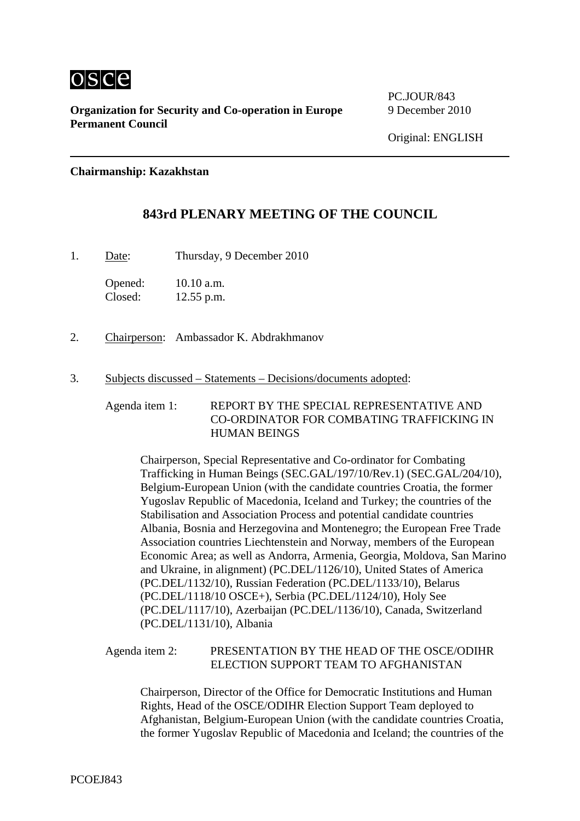

**Organization for Security and Co-operation in Europe** 9 December 2010 **Permanent Council** 

PC.JOUR/843

**Chairmanship: Kazakhstan** 

## **843rd PLENARY MEETING OF THE COUNCIL**

1. Date: Thursday, 9 December 2010

Opened: 10.10 a.m. Closed: 12.55 p.m.

- 2. Chairperson: Ambassador K. Abdrakhmanov
- 3. Subjects discussed Statements Decisions/documents adopted:

Agenda item 1: REPORT BY THE SPECIAL REPRESENTATIVE AND CO-ORDINATOR FOR COMBATING TRAFFICKING IN HUMAN BEINGS

Chairperson, Special Representative and Co-ordinator for Combating Trafficking in Human Beings (SEC.GAL/197/10/Rev.1) (SEC.GAL/204/10), Belgium-European Union (with the candidate countries Croatia, the former Yugoslav Republic of Macedonia, Iceland and Turkey; the countries of the Stabilisation and Association Process and potential candidate countries Albania, Bosnia and Herzegovina and Montenegro; the European Free Trade Association countries Liechtenstein and Norway, members of the European Economic Area; as well as Andorra, Armenia, Georgia, Moldova, San Marino and Ukraine, in alignment) (PC.DEL/1126/10), United States of America (PC.DEL/1132/10), Russian Federation (PC.DEL/1133/10), Belarus (PC.DEL/1118/10 OSCE+), Serbia (PC.DEL/1124/10), Holy See (PC.DEL/1117/10), Azerbaijan (PC.DEL/1136/10), Canada, Switzerland (PC.DEL/1131/10), Albania

## Agenda item 2: PRESENTATION BY THE HEAD OF THE OSCE/ODIHR ELECTION SUPPORT TEAM TO AFGHANISTAN

Chairperson, Director of the Office for Democratic Institutions and Human Rights, Head of the OSCE/ODIHR Election Support Team deployed to Afghanistan, Belgium-European Union (with the candidate countries Croatia, the former Yugoslav Republic of Macedonia and Iceland; the countries of the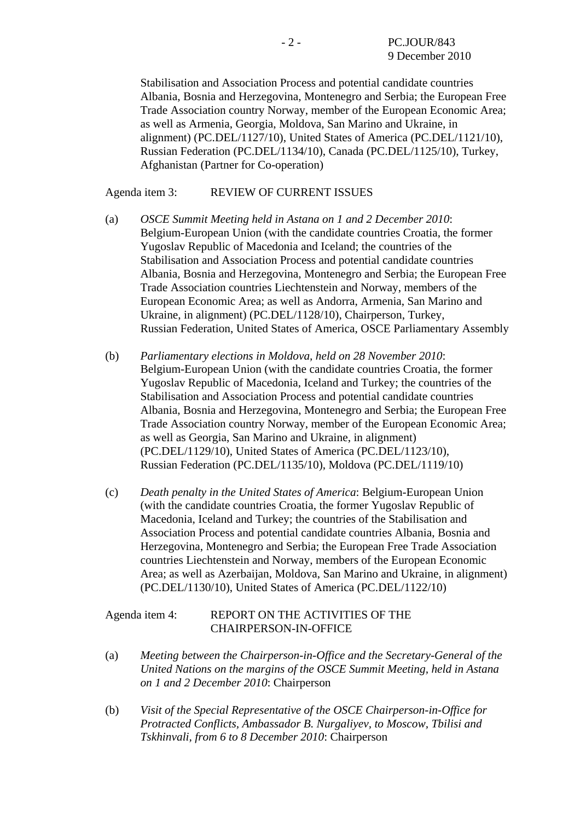Stabilisation and Association Process and potential candidate countries Albania, Bosnia and Herzegovina, Montenegro and Serbia; the European Free Trade Association country Norway, member of the European Economic Area; as well as Armenia, Georgia, Moldova, San Marino and Ukraine, in alignment) (PC.DEL/1127/10), United States of America (PC.DEL/1121/10), Russian Federation (PC.DEL/1134/10), Canada (PC.DEL/1125/10), Turkey, Afghanistan (Partner for Co-operation)

## Agenda item 3: REVIEW OF CURRENT ISSUES

- (a) *OSCE Summit Meeting held in Astana on 1 and 2 December 2010*: Belgium-European Union (with the candidate countries Croatia, the former Yugoslav Republic of Macedonia and Iceland; the countries of the Stabilisation and Association Process and potential candidate countries Albania, Bosnia and Herzegovina, Montenegro and Serbia; the European Free Trade Association countries Liechtenstein and Norway, members of the European Economic Area; as well as Andorra, Armenia, San Marino and Ukraine, in alignment) (PC.DEL/1128/10), Chairperson, Turkey, Russian Federation, United States of America, OSCE Parliamentary Assembly
- (b) *Parliamentary elections in Moldova, held on 28 November 2010*: Belgium-European Union (with the candidate countries Croatia, the former Yugoslav Republic of Macedonia, Iceland and Turkey; the countries of the Stabilisation and Association Process and potential candidate countries Albania, Bosnia and Herzegovina, Montenegro and Serbia; the European Free Trade Association country Norway, member of the European Economic Area; as well as Georgia, San Marino and Ukraine, in alignment) (PC.DEL/1129/10), United States of America (PC.DEL/1123/10), Russian Federation (PC.DEL/1135/10), Moldova (PC.DEL/1119/10)
- (c) *Death penalty in the United States of America*: Belgium-European Union (with the candidate countries Croatia, the former Yugoslav Republic of Macedonia, Iceland and Turkey; the countries of the Stabilisation and Association Process and potential candidate countries Albania, Bosnia and Herzegovina, Montenegro and Serbia; the European Free Trade Association countries Liechtenstein and Norway, members of the European Economic Area; as well as Azerbaijan, Moldova, San Marino and Ukraine, in alignment) (PC.DEL/1130/10), United States of America (PC.DEL/1122/10)

## Agenda item 4: REPORT ON THE ACTIVITIES OF THE CHAIRPERSON-IN-OFFICE

- (a) *Meeting between the Chairperson-in-Office and the Secretary-General of the United Nations on the margins of the OSCE Summit Meeting, held in Astana on 1 and 2 December 2010*: Chairperson
- (b) *Visit of the Special Representative of the OSCE Chairperson-in-Office for Protracted Conflicts, Ambassador B. Nurgaliyev, to Moscow, Tbilisi and Tskhinvali, from 6 to 8 December 2010*: Chairperson